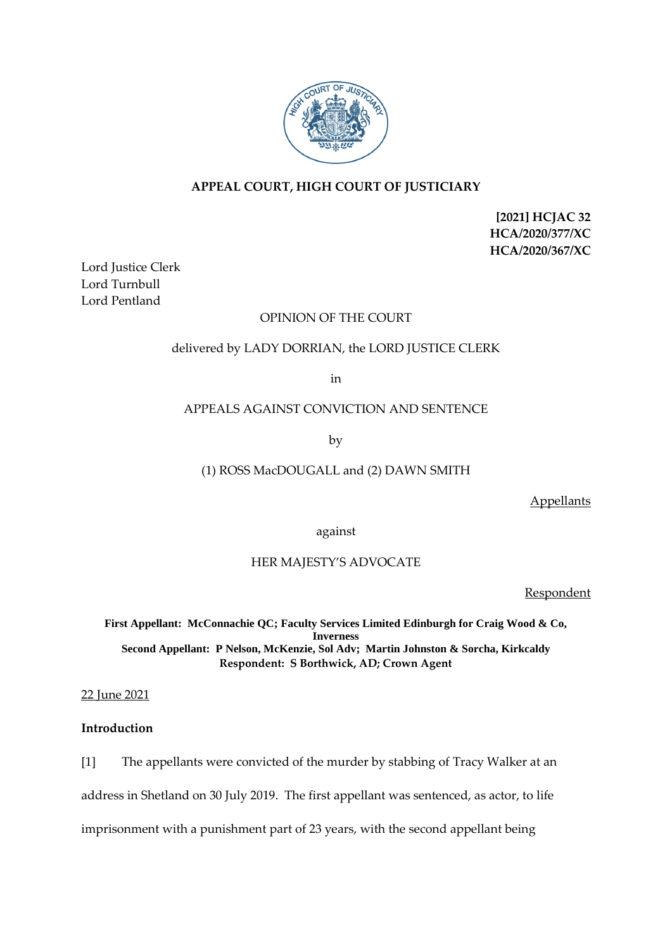

# **APPEAL COURT, HIGH COURT OF JUSTICIARY**

**[2021] HCJAC 32 HCA/2020/377/XC HCA/2020/367/XC**

Lord Justice Clerk Lord Turnbull Lord Pentland

# OPINION OF THE COURT

## delivered by LADY DORRIAN, the LORD JUSTICE CLERK

in

### APPEALS AGAINST CONVICTION AND SENTENCE

by

# (1) ROSS MacDOUGALL and (2) DAWN SMITH

**Appellants** 

against

# HER MAJESTY'S ADVOCATE

Respondent

**First Appellant: McConnachie QC; Faculty Services Limited Edinburgh for Craig Wood & Co, Inverness Second Appellant: P Nelson, McKenzie, Sol Adv; Martin Johnston & Sorcha, Kirkcaldy Respondent: S Borthwick, AD; Crown Agent**

22 June 2021

### **Introduction**

[1] The appellants were convicted of the murder by stabbing of Tracy Walker at an address in Shetland on 30 July 2019. The first appellant was sentenced, as actor, to life imprisonment with a punishment part of 23 years, with the second appellant being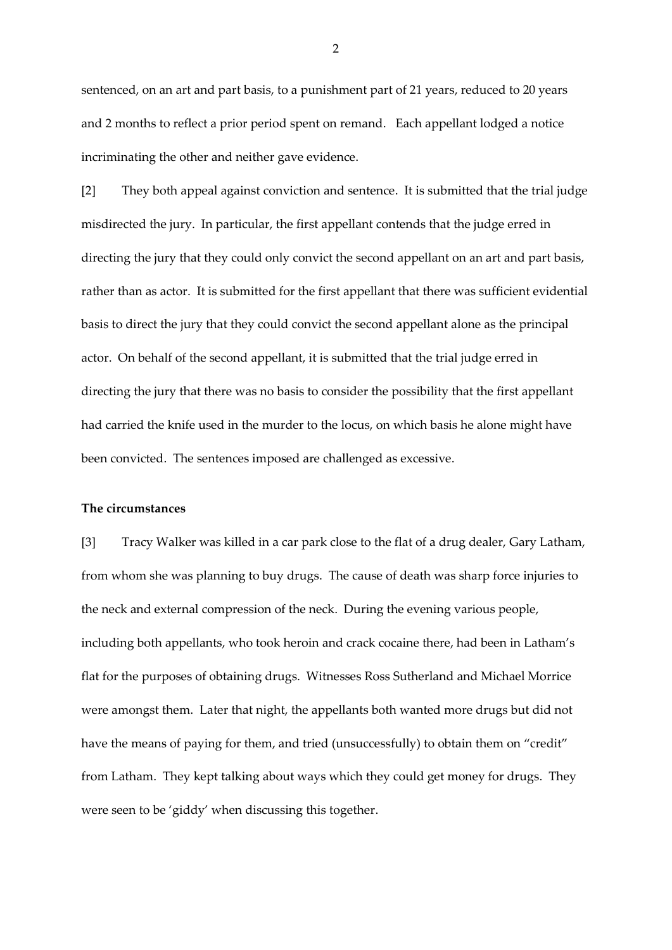sentenced, on an art and part basis, to a punishment part of 21 years, reduced to 20 years and 2 months to reflect a prior period spent on remand. Each appellant lodged a notice incriminating the other and neither gave evidence.

[2] They both appeal against conviction and sentence. It is submitted that the trial judge misdirected the jury. In particular, the first appellant contends that the judge erred in directing the jury that they could only convict the second appellant on an art and part basis, rather than as actor. It is submitted for the first appellant that there was sufficient evidential basis to direct the jury that they could convict the second appellant alone as the principal actor. On behalf of the second appellant, it is submitted that the trial judge erred in directing the jury that there was no basis to consider the possibility that the first appellant had carried the knife used in the murder to the locus, on which basis he alone might have been convicted. The sentences imposed are challenged as excessive.

#### **The circumstances**

[3] Tracy Walker was killed in a car park close to the flat of a drug dealer, Gary Latham, from whom she was planning to buy drugs. The cause of death was sharp force injuries to the neck and external compression of the neck. During the evening various people, including both appellants, who took heroin and crack cocaine there, had been in Latham's flat for the purposes of obtaining drugs. Witnesses Ross Sutherland and Michael Morrice were amongst them. Later that night, the appellants both wanted more drugs but did not have the means of paying for them, and tried (unsuccessfully) to obtain them on "credit" from Latham. They kept talking about ways which they could get money for drugs. They were seen to be 'giddy' when discussing this together.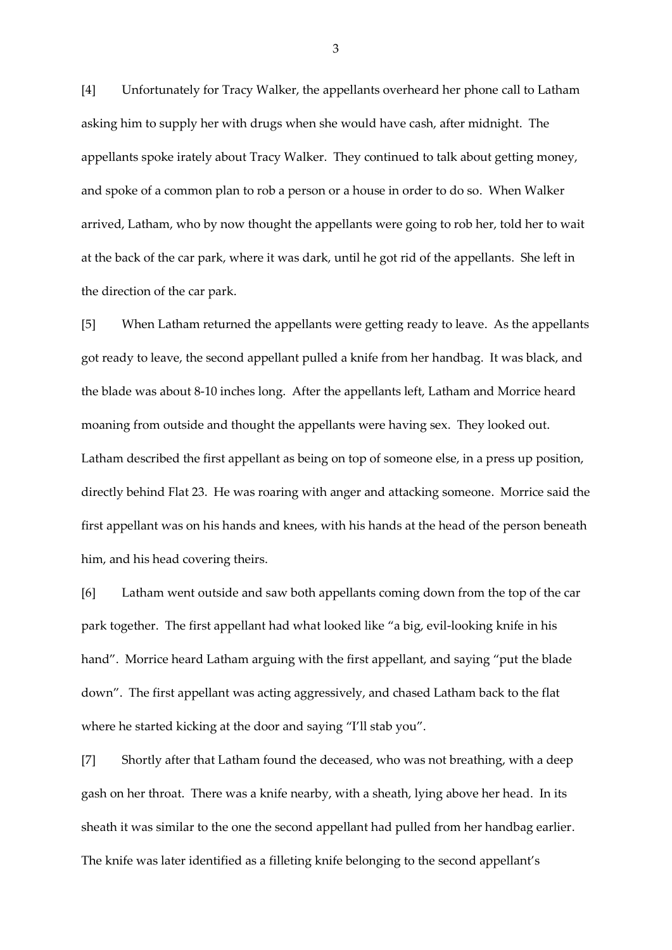[4] Unfortunately for Tracy Walker, the appellants overheard her phone call to Latham asking him to supply her with drugs when she would have cash, after midnight. The appellants spoke irately about Tracy Walker. They continued to talk about getting money, and spoke of a common plan to rob a person or a house in order to do so. When Walker arrived, Latham, who by now thought the appellants were going to rob her, told her to wait at the back of the car park, where it was dark, until he got rid of the appellants. She left in the direction of the car park.

[5] When Latham returned the appellants were getting ready to leave. As the appellants got ready to leave, the second appellant pulled a knife from her handbag. It was black, and the blade was about 8-10 inches long. After the appellants left, Latham and Morrice heard moaning from outside and thought the appellants were having sex. They looked out. Latham described the first appellant as being on top of someone else, in a press up position, directly behind Flat 23. He was roaring with anger and attacking someone. Morrice said the first appellant was on his hands and knees, with his hands at the head of the person beneath him, and his head covering theirs.

[6] Latham went outside and saw both appellants coming down from the top of the car park together. The first appellant had what looked like "a big, evil-looking knife in his hand". Morrice heard Latham arguing with the first appellant, and saying "put the blade down". The first appellant was acting aggressively, and chased Latham back to the flat where he started kicking at the door and saying "I'll stab you".

[7] Shortly after that Latham found the deceased, who was not breathing, with a deep gash on her throat. There was a knife nearby, with a sheath, lying above her head. In its sheath it was similar to the one the second appellant had pulled from her handbag earlier. The knife was later identified as a filleting knife belonging to the second appellant's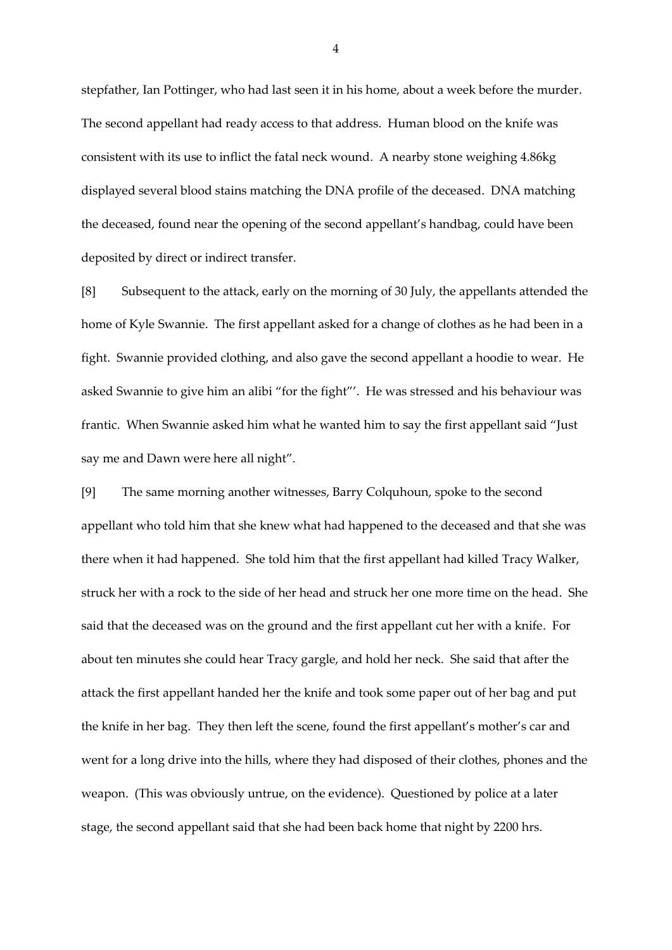stepfather, Ian Pottinger, who had last seen it in his home, about a week before the murder. The second appellant had ready access to that address. Human blood on the knife was consistent with its use to inflict the fatal neck wound. A nearby stone weighing 4.86kg displayed several blood stains matching the DNA profile of the deceased. DNA matching the deceased, found near the opening of the second appellant's handbag, could have been deposited by direct or indirect transfer.

[8] Subsequent to the attack, early on the morning of 30 July, the appellants attended the home of Kyle Swannie. The first appellant asked for a change of clothes as he had been in a fight. Swannie provided clothing, and also gave the second appellant a hoodie to wear. He asked Swannie to give him an alibi "for the fight"'. He was stressed and his behaviour was frantic. When Swannie asked him what he wanted him to say the first appellant said "Just say me and Dawn were here all night".

[9] The same morning another witnesses, Barry Colquhoun, spoke to the second appellant who told him that she knew what had happened to the deceased and that she was there when it had happened. She told him that the first appellant had killed Tracy Walker, struck her with a rock to the side of her head and struck her one more time on the head. She said that the deceased was on the ground and the first appellant cut her with a knife. For about ten minutes she could hear Tracy gargle, and hold her neck. She said that after the attack the first appellant handed her the knife and took some paper out of her bag and put the knife in her bag. They then left the scene, found the first appellant's mother's car and went for a long drive into the hills, where they had disposed of their clothes, phones and the weapon. (This was obviously untrue, on the evidence). Questioned by police at a later stage, the second appellant said that she had been back home that night by 2200 hrs.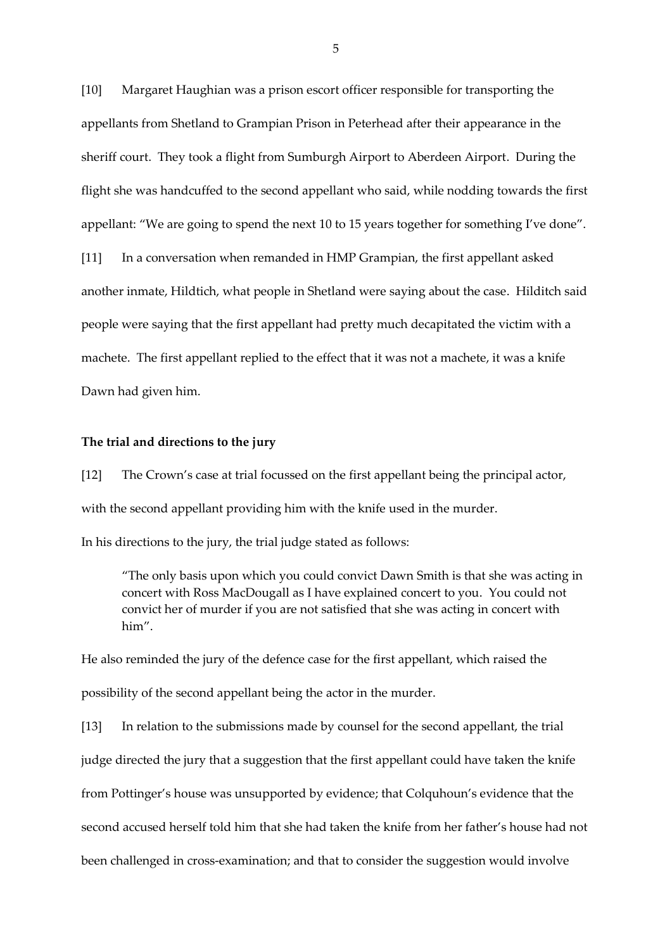[10] Margaret Haughian was a prison escort officer responsible for transporting the appellants from Shetland to Grampian Prison in Peterhead after their appearance in the sheriff court. They took a flight from Sumburgh Airport to Aberdeen Airport. During the flight she was handcuffed to the second appellant who said, while nodding towards the first appellant: "We are going to spend the next 10 to 15 years together for something I've done". [11] In a conversation when remanded in HMP Grampian, the first appellant asked another inmate, Hildtich, what people in Shetland were saying about the case. Hilditch said people were saying that the first appellant had pretty much decapitated the victim with a machete. The first appellant replied to the effect that it was not a machete, it was a knife Dawn had given him.

#### **The trial and directions to the jury**

[12] The Crown's case at trial focussed on the first appellant being the principal actor, with the second appellant providing him with the knife used in the murder.

In his directions to the jury, the trial judge stated as follows:

"The only basis upon which you could convict Dawn Smith is that she was acting in concert with Ross MacDougall as I have explained concert to you. You could not convict her of murder if you are not satisfied that she was acting in concert with him".

He also reminded the jury of the defence case for the first appellant, which raised the possibility of the second appellant being the actor in the murder.

[13] In relation to the submissions made by counsel for the second appellant, the trial judge directed the jury that a suggestion that the first appellant could have taken the knife from Pottinger's house was unsupported by evidence; that Colquhoun's evidence that the second accused herself told him that she had taken the knife from her father's house had not been challenged in cross-examination; and that to consider the suggestion would involve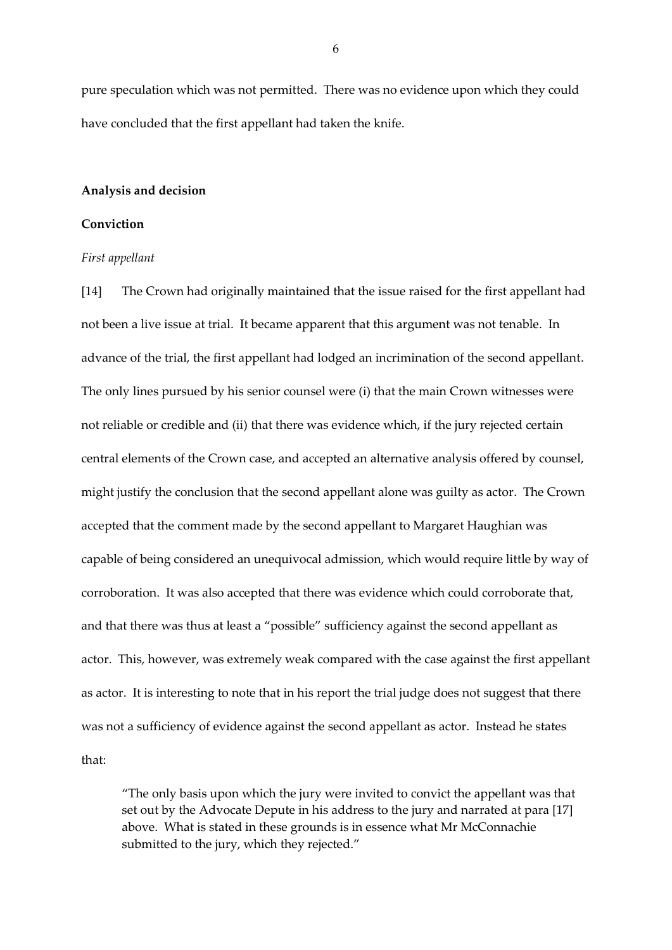pure speculation which was not permitted. There was no evidence upon which they could have concluded that the first appellant had taken the knife.

#### **Analysis and decision**

## **Conviction**

#### *First appellant*

[14] The Crown had originally maintained that the issue raised for the first appellant had not been a live issue at trial. It became apparent that this argument was not tenable. In advance of the trial, the first appellant had lodged an incrimination of the second appellant. The only lines pursued by his senior counsel were (i) that the main Crown witnesses were not reliable or credible and (ii) that there was evidence which, if the jury rejected certain central elements of the Crown case, and accepted an alternative analysis offered by counsel, might justify the conclusion that the second appellant alone was guilty as actor. The Crown accepted that the comment made by the second appellant to Margaret Haughian was capable of being considered an unequivocal admission, which would require little by way of corroboration. It was also accepted that there was evidence which could corroborate that, and that there was thus at least a "possible" sufficiency against the second appellant as actor. This, however, was extremely weak compared with the case against the first appellant as actor. It is interesting to note that in his report the trial judge does not suggest that there was not a sufficiency of evidence against the second appellant as actor. Instead he states that:

"The only basis upon which the jury were invited to convict the appellant was that set out by the Advocate Depute in his address to the jury and narrated at para [17] above. What is stated in these grounds is in essence what Mr McConnachie submitted to the jury, which they rejected."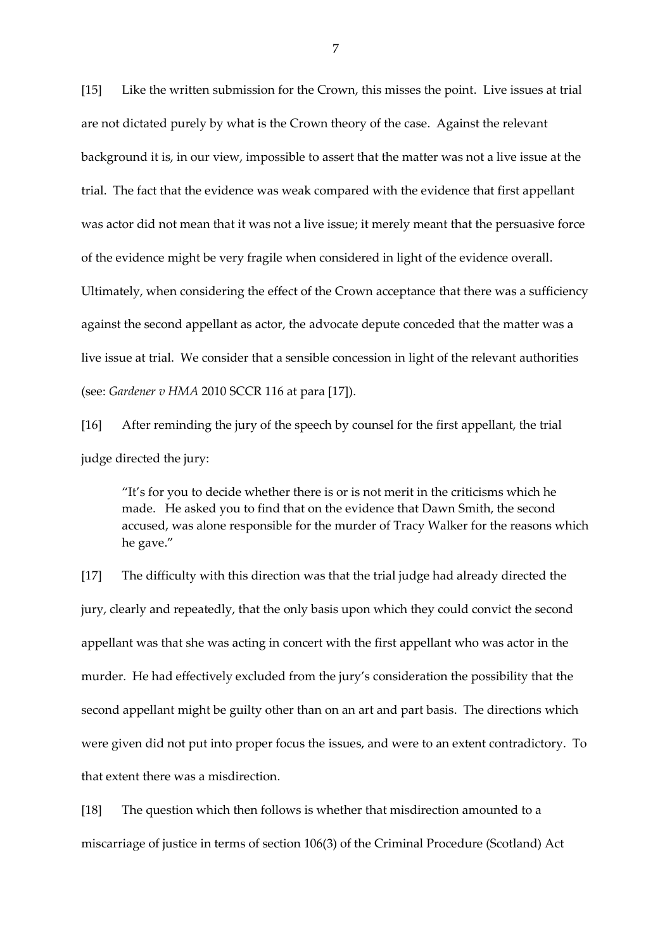[15] Like the written submission for the Crown, this misses the point. Live issues at trial are not dictated purely by what is the Crown theory of the case. Against the relevant background it is, in our view, impossible to assert that the matter was not a live issue at the trial. The fact that the evidence was weak compared with the evidence that first appellant was actor did not mean that it was not a live issue; it merely meant that the persuasive force of the evidence might be very fragile when considered in light of the evidence overall. Ultimately, when considering the effect of the Crown acceptance that there was a sufficiency against the second appellant as actor, the advocate depute conceded that the matter was a live issue at trial. We consider that a sensible concession in light of the relevant authorities

(see: *Gardener v HMA* 2010 SCCR 116 at para [17]).

[16] After reminding the jury of the speech by counsel for the first appellant, the trial judge directed the jury:

"It's for you to decide whether there is or is not merit in the criticisms which he made. He asked you to find that on the evidence that Dawn Smith, the second accused, was alone responsible for the murder of Tracy Walker for the reasons which he gave."

[17] The difficulty with this direction was that the trial judge had already directed the jury, clearly and repeatedly, that the only basis upon which they could convict the second appellant was that she was acting in concert with the first appellant who was actor in the murder. He had effectively excluded from the jury's consideration the possibility that the second appellant might be guilty other than on an art and part basis. The directions which were given did not put into proper focus the issues, and were to an extent contradictory. To that extent there was a misdirection.

[18] The question which then follows is whether that misdirection amounted to a miscarriage of justice in terms of section 106(3) of the Criminal Procedure (Scotland) Act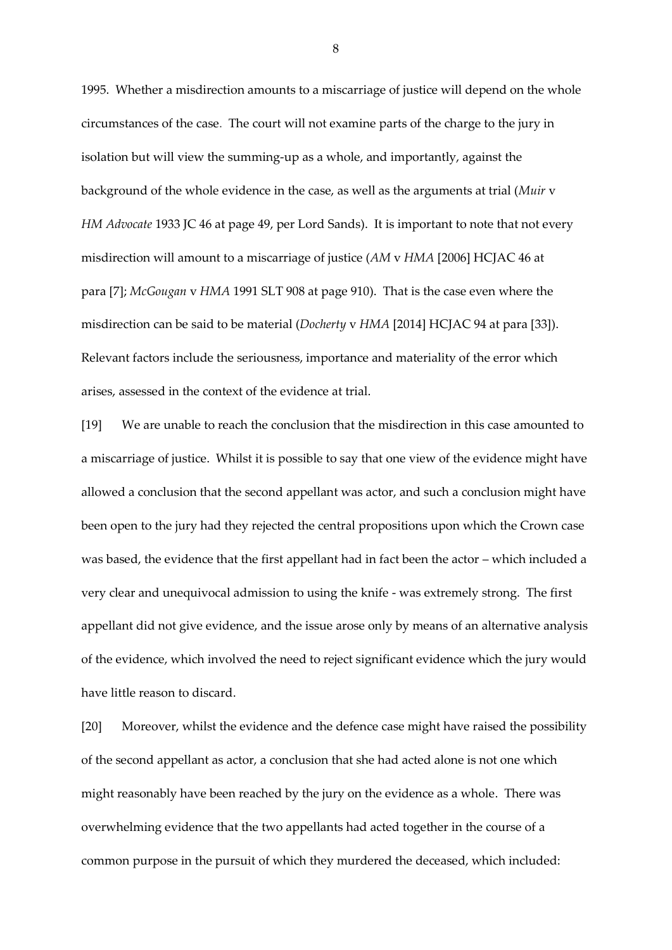1995. Whether a misdirection amounts to a miscarriage of justice will depend on the whole circumstances of the case. The court will not examine parts of the charge to the jury in isolation but will view the summing-up as a whole, and importantly, against the background of the whole evidence in the case, as well as the arguments at trial (*[Muir](https://uk.westlaw.com/Link/Document/FullText?findType=Y&serNum=1933030295&pubNum=4760&originatingDoc=ICAF3A360207411E8A627E93DE341BF95&refType=UC&originationContext=document&transitionType=CommentaryUKLink&contextData=(sc.Category)&comp=books)* v *HM [Advocate](https://uk.westlaw.com/Link/Document/FullText?findType=Y&serNum=1933030295&pubNum=4760&originatingDoc=ICAF3A360207411E8A627E93DE341BF95&refType=UC&originationContext=document&transitionType=CommentaryUKLink&contextData=(sc.Category)&comp=books)* 1933 JC 46 at page 49, per Lord Sands). It is important to note that not every misdirection will amount to a miscarriage of justice (*AM* v *HMA* [2006] HCJAC 46 at para [7]; *McGougan* v *HMA* 1991 SLT 908 at page 910). That is the case even where the misdirection can be said to be material (*Docherty* v *HMA* [2014] HCJAC 94 at para [33]). Relevant factors include the seriousness, importance and materiality of the error which arises, assessed in the context of the evidence at trial.

[19] We are unable to reach the conclusion that the misdirection in this case amounted to a miscarriage of justice. Whilst it is possible to say that one view of the evidence might have allowed a conclusion that the second appellant was actor, and such a conclusion might have been open to the jury had they rejected the central propositions upon which the Crown case was based, the evidence that the first appellant had in fact been the actor – which included a very clear and unequivocal admission to using the knife - was extremely strong. The first appellant did not give evidence, and the issue arose only by means of an alternative analysis of the evidence, which involved the need to reject significant evidence which the jury would have little reason to discard.

[20] Moreover, whilst the evidence and the defence case might have raised the possibility of the second appellant as actor, a conclusion that she had acted alone is not one which might reasonably have been reached by the jury on the evidence as a whole. There was overwhelming evidence that the two appellants had acted together in the course of a common purpose in the pursuit of which they murdered the deceased, which included: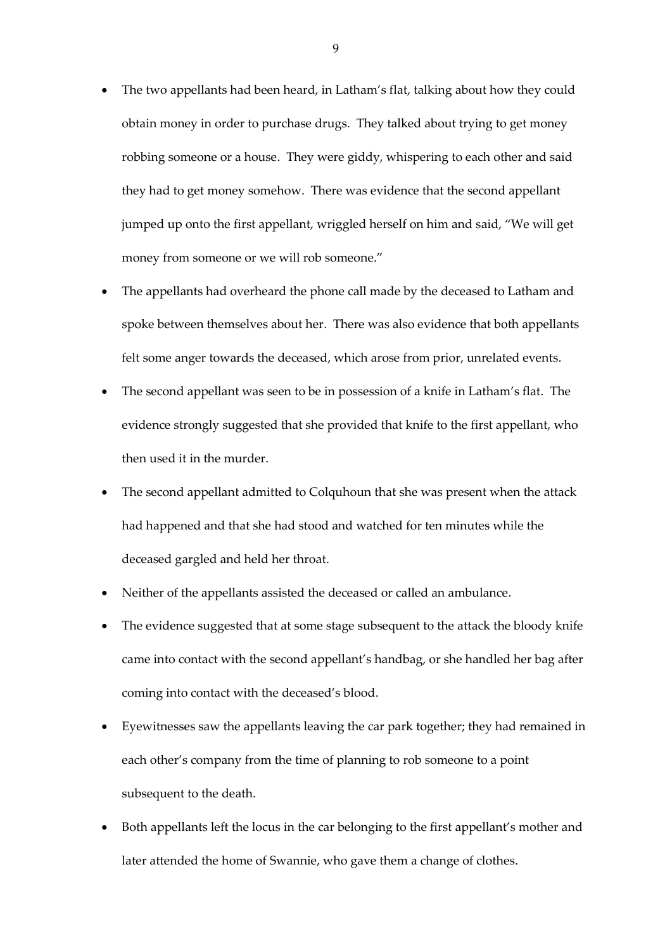- The two appellants had been heard, in Latham's flat, talking about how they could obtain money in order to purchase drugs. They talked about trying to get money robbing someone or a house. They were giddy, whispering to each other and said they had to get money somehow. There was evidence that the second appellant jumped up onto the first appellant, wriggled herself on him and said, "We will get money from someone or we will rob someone."
- The appellants had overheard the phone call made by the deceased to Latham and spoke between themselves about her. There was also evidence that both appellants felt some anger towards the deceased, which arose from prior, unrelated events.
- The second appellant was seen to be in possession of a knife in Latham's flat. The evidence strongly suggested that she provided that knife to the first appellant, who then used it in the murder.
- The second appellant admitted to Colquhoun that she was present when the attack had happened and that she had stood and watched for ten minutes while the deceased gargled and held her throat.
- Neither of the appellants assisted the deceased or called an ambulance.
- The evidence suggested that at some stage subsequent to the attack the bloody knife came into contact with the second appellant's handbag, or she handled her bag after coming into contact with the deceased's blood.
- Eyewitnesses saw the appellants leaving the car park together; they had remained in each other's company from the time of planning to rob someone to a point subsequent to the death.
- Both appellants left the locus in the car belonging to the first appellant's mother and later attended the home of Swannie, who gave them a change of clothes.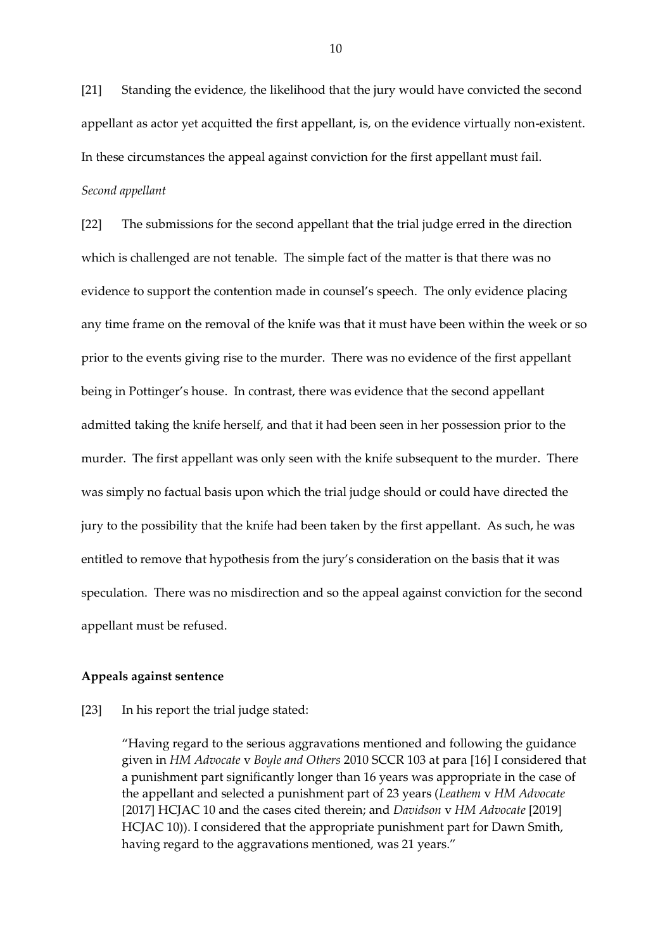[21] Standing the evidence, the likelihood that the jury would have convicted the second appellant as actor yet acquitted the first appellant, is, on the evidence virtually non-existent. In these circumstances the appeal against conviction for the first appellant must fail. *Second appellant* 

[22] The submissions for the second appellant that the trial judge erred in the direction which is challenged are not tenable. The simple fact of the matter is that there was no evidence to support the contention made in counsel's speech. The only evidence placing any time frame on the removal of the knife was that it must have been within the week or so prior to the events giving rise to the murder. There was no evidence of the first appellant being in Pottinger's house. In contrast, there was evidence that the second appellant admitted taking the knife herself, and that it had been seen in her possession prior to the murder. The first appellant was only seen with the knife subsequent to the murder. There was simply no factual basis upon which the trial judge should or could have directed the jury to the possibility that the knife had been taken by the first appellant. As such, he was entitled to remove that hypothesis from the jury's consideration on the basis that it was speculation. There was no misdirection and so the appeal against conviction for the second appellant must be refused.

# **Appeals against sentence**

## [23] In his report the trial judge stated:

"Having regard to the serious aggravations mentioned and following the guidance given in *HM Advocate* v *Boyle and Others* 2010 SCCR 103 at para [16] I considered that a punishment part significantly longer than 16 years was appropriate in the case of the appellant and selected a punishment part of 23 years (*Leathem* v *HM Advocate* [2017] HCJAC 10 and the cases cited therein; and *Davidson* v *HM Advocate* [2019] HCJAC 10)). I considered that the appropriate punishment part for Dawn Smith, having regard to the aggravations mentioned, was 21 years."